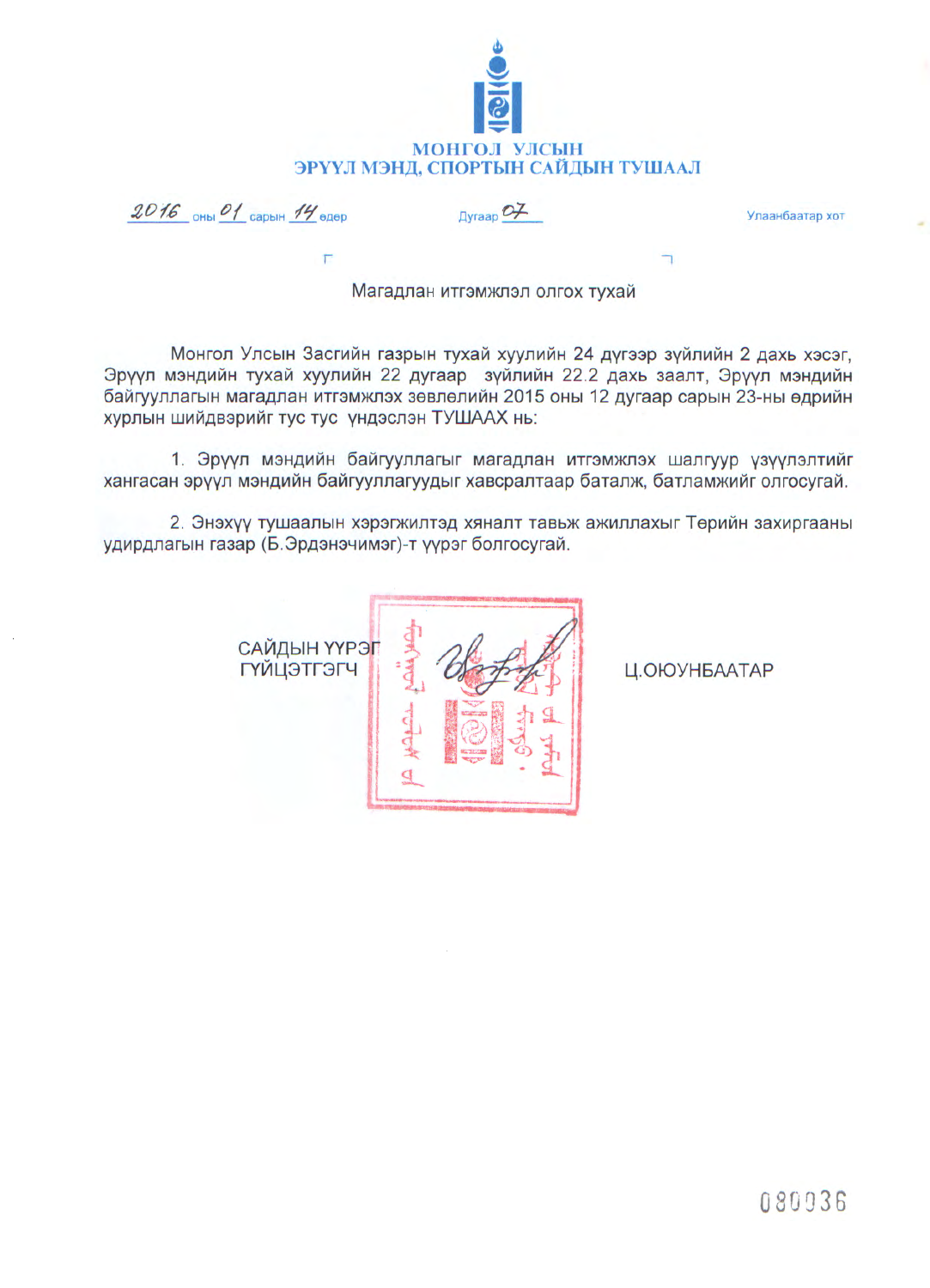

 $2016$  OHbi O1 CapbiH 14 GAOD

 $\Delta$ <sub>D</sub>yraap  $\mathcal{O}$ 

Улаанбаатар хот

Магадлан итгэмжлэл олгох түхай

Монгол Улсын Засгийн газрын тухай хуулийн 24 дүгээр зүйлийн 2 дахь хэсэг, Эрүүл мэндийн тухай хуулийн 22 дугаар зүйлийн 22.2 дахь заалт, Эрүүл мэндийн байгууллагын магадлан итгэмжлэх зөвлөлийн 2015 оны 12 дугаар сарын 23-ны өдрийн хурлын шийдвэрийг тус тус үндэслэн ТУШААХ нь:

1. Эрүүл мэндийн байгууллагыг магадлан итгэмжлэх шалгуур үзүүлэлтийг хангасан эрүүл мэндийн байгууллагуудыг хавсралтаар баталж, батламжийг олгосугай.

2. Энэхүү тушаалын хэрэгжилтэд хяналт тавьж ажиллахыг Төрийн захиргааны удирдлагын газар (Б.Эрдэнэчимэг)-т үүрэг болгосугай.

САЙДЫН ҮҮРЭГ **ГҮЙЦЭТГЭГЧ** 

Ц.ОЮУНБААТАР

÷.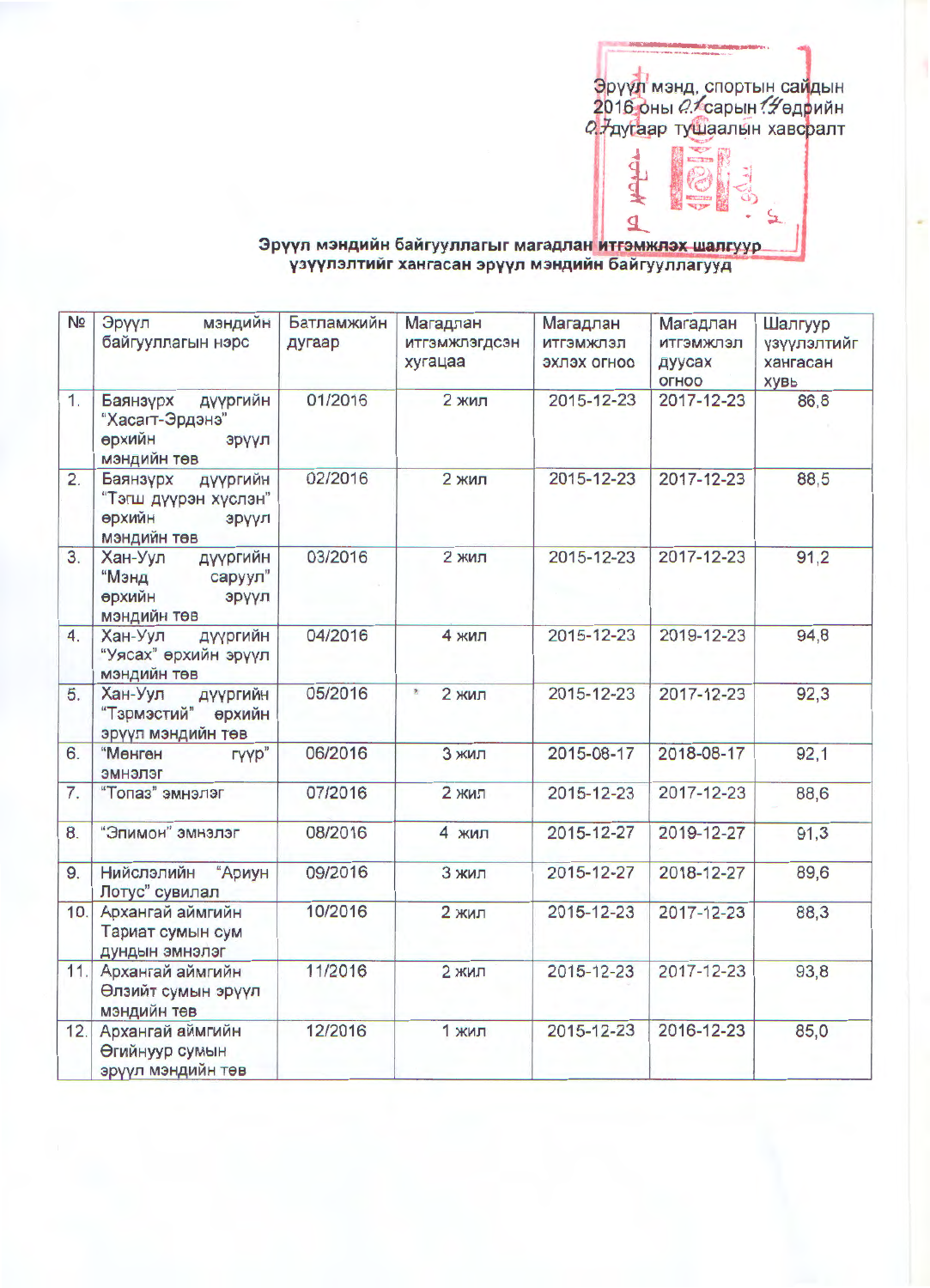Эрүүл мэнд, спортын сайдын<br>2016 оны *0:*≮сарын *:∯*өдрийн<br>2 7дугаар тушаалын хавсралт

ą

₫

## Эрүүл мэндийн байгууллагыг магадлан <mark>итгэмжлэх шалгуур.</mark><br>1997- үзүүлэлтийг хангасан эрүүл мэндийн байгууллагууд

| N <sub>2</sub>   | Эрүүл<br>мэндийн<br>байгууллагын нэрс                                          | Батламжийн<br>дугаар | Магадлан<br>итгэмжлэгдсэн<br>хугацаа | Магадлан<br>итгэмжлэл<br>эхлэх огноо | Магадлан<br>ИТГЭМЖЛЭЛ<br>дуусах<br>OFHOO | Шалгуур<br>үзүүлэлтийг<br>хангасан<br>хувь |
|------------------|--------------------------------------------------------------------------------|----------------------|--------------------------------------|--------------------------------------|------------------------------------------|--------------------------------------------|
| 1.               | Баянзурх<br>дүүргийн<br>"Хасагт-Эрдэнэ"<br>өрхийн<br>эрүүл<br>мэндийн төв      | 01/2016              | <b>2 жил</b>                         | 2015-12-23                           | 2017-12-23                               | 86,8                                       |
| $\overline{2}$ . | дүүргийн<br>Баянзурх<br>"Тэгш дүүрэн хүслэн"<br>өрхийн<br>эрүүл<br>мэндийн төв | 02/2016              | 2 жил                                | 2015-12-23                           | 2017-12-23                               | 88,5                                       |
| 3.               | Хан-Уул<br>дүүргийн<br>"Мэнд<br>саруул"<br>өрхийн<br>эрүүл<br>мэндийн төв      | 03/2016              | 2 жил                                | 2015-12-23                           | 2017-12-23                               | 91,2                                       |
| $\overline{4}$ . | Хан-Уул<br>дүүргийн<br>"Уясах" өрхийн эрүүл<br>мэндийн төв                     | 04/2016              | 4 жил                                | 2015-12-23                           | 2019-12-23                               | 94,8                                       |
| 5.               | Хан-Уул<br>дүүргийн<br>"Тэрмэстий"<br>өрхийн<br>эрүүл мэндийн төв              | 05/2016              | Ł<br>2 жил                           | 2015-12-23                           | 2017-12-23                               | 92,3                                       |
| 6.               | гүүр"<br>"Мөнгөн<br>эмнэлэг                                                    | 06/2016              | 3 жил                                | 2015-08-17                           | 2018-08-17                               | 92,1                                       |
| 7.               | "Топаз" эмнэлэг                                                                | 07/2016              | <b>2 жил</b>                         | 2015-12-23                           | 2017-12-23                               | 88,6                                       |
| 8.               | "Эпимон" эмнэлэг                                                               | 08/2016              | 4 жил                                | 2015-12-27                           | 2019-12-27                               | 91,3                                       |
| 9.               | Нийслэлийн<br>"Ариун<br>Лотус" сувилал                                         | 09/2016              | 3 жил                                | 2015-12-27                           | 2018-12-27                               | 89,6                                       |
| 10.              | Архангай аймгийн<br>Тариат сумын сум<br>дундын эмнэлэг                         | 10/2016              | 2 жил                                | 2015-12-23                           | 2017-12-23                               | 88,3                                       |
| 11.              | Архангай аймгийн<br>Өлзийт сумын эрүүл<br>мэндийн төв                          | 11/2016              | 2 жил                                | 2015-12-23                           | 2017-12-23                               | 93,8                                       |
| 12.              | Архангай аймгийн<br>Өгийнуур сумын<br>эрүүл мэндийн төв                        | 12/2016              | 1 жил                                | 2015-12-23                           | 2016-12-23                               | 85,0                                       |